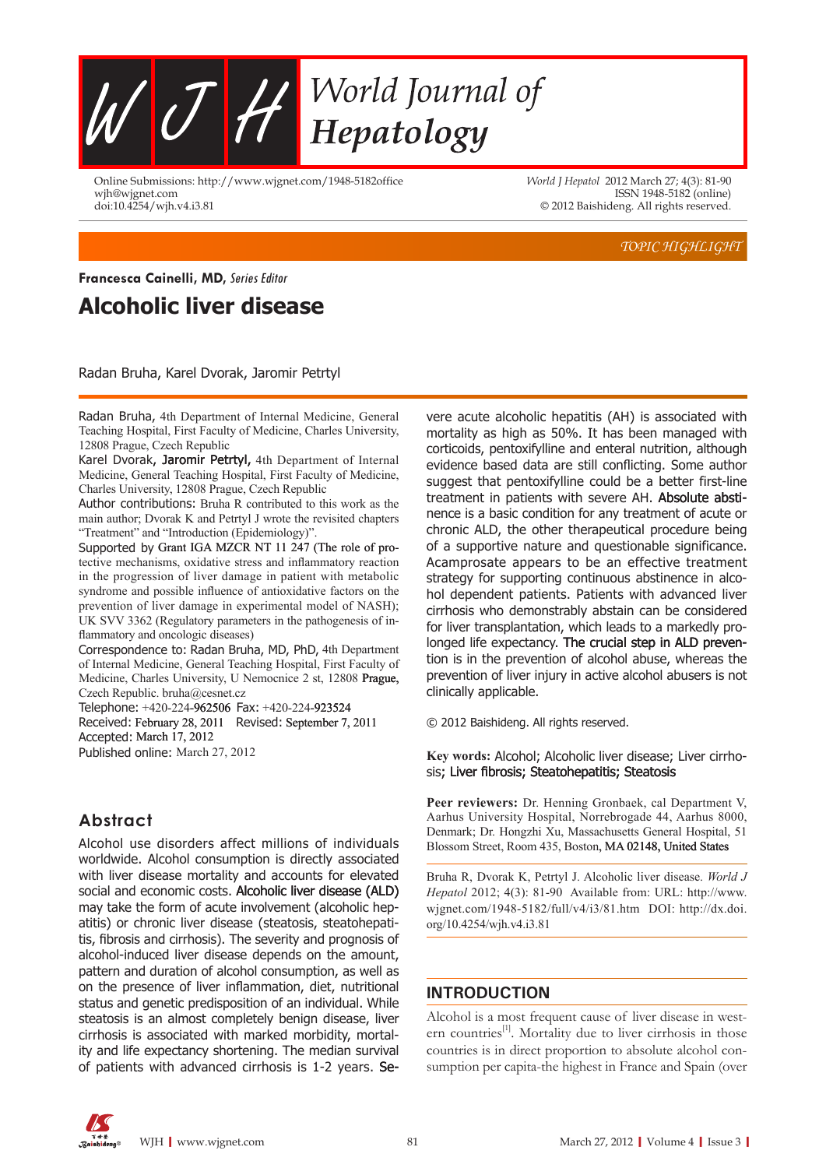

Online Submissions: http://www.wjgnet.com/1948-5182office wjh@wjgnet.com doi:10.4254/wjh.v4.i3.8

*World J Hepatol* 2012 March 27; 4(3): 81-90 ISSN 1948-5182 (online) © 2012 Baishideng. All rights reserved.

*TOPIC HIGHLIGHT*

### **Alcoholic liver disease Francesca Cainelli, MD,** Series Editor

Radan Bruha, Karel Dvorak, Jaromir Petrtyl

Radan Bruha, 4th Department of Internal Medicine, General Teaching Hospital, First Faculty of Medicine, Charles University, 12808 Prague, Czech Republic

Karel Dvorak, Jaromir Petrtyl, 4th Department of Internal Medicine, General Teaching Hospital, First Faculty of Medicine, Charles University, 12808 Prague, Czech Republic

Author contributions: Bruha R contributed to this work as the main author; Dvorak K and Petrtyl J wrote the revisited chapters "Treatment" and "Introduction (Epidemiology)".

Supported by Grant IGA MZCR NT 11 247 (The role of protective mechanisms, oxidative stress and inflammatory reaction in the progression of liver damage in patient with metabolic syndrome and possible influence of antioxidative factors on the prevention of liver damage in experimental model of NASH); UK SVV 3362 (Regulatory parameters in the pathogenesis of inflammatory and oncologic diseases)

Correspondence to: Radan Bruha, MD, PhD, 4th Department of Internal Medicine, General Teaching Hospital, First Faculty of Medicine, Charles University, U Nemocnice 2 st, 12808 Prague, Czech Republic. bruha@cesnet.cz

Telephone: +420-224-962506 Fax: +420-224-923524 Received: February 28, 2011 Revised: September 7, 2011 Accepted: March 17, 2012 Published online: March 27, 2012

### **Abstract**

Alcohol use disorders affect millions of individuals worldwide. Alcohol consumption is directly associated with liver disease mortality and accounts for elevated social and economic costs. Alcoholic liver disease (ALD) may take the form of acute involvement (alcoholic hepatitis) or chronic liver disease (steatosis, steatohepatitis, fibrosis and cirrhosis). The severity and prognosis of alcohol-induced liver disease depends on the amount, pattern and duration of alcohol consumption, as well as on the presence of liver inflammation, diet, nutritional status and genetic predisposition of an individual. While steatosis is an almost completely benign disease, liver cirrhosis is associated with marked morbidity, mortality and life expectancy shortening. The median survival of patients with advanced cirrhosis is 1-2 years. Se-

vere acute alcoholic hepatitis (AH) is associated with mortality as high as 50%. It has been managed with corticoids, pentoxifylline and enteral nutrition, although evidence based data are still conflicting. Some author suggest that pentoxifylline could be a better first-line treatment in patients with severe AH. Absolute abstinence is a basic condition for any treatment of acute or chronic ALD, the other therapeutical procedure being of a supportive nature and questionable significance. Acamprosate appears to be an effective treatment strategy for supporting continuous abstinence in alcohol dependent patients. Patients with advanced liver cirrhosis who demonstrably abstain can be considered for liver transplantation, which leads to a markedly prolonged life expectancy. The crucial step in ALD prevention is in the prevention of alcohol abuse, whereas the prevention of liver injury in active alcohol abusers is not clinically applicable.

© 2012 Baishideng. All rights reserved.

**Key words:** Alcohol; Alcoholic liver disease; Liver cirrhosis; Liver fibrosis; Steatohepatitis; Steatosis

Peer reviewers: Dr. Henning Gronbaek, cal Department V, Aarhus University Hospital, Norrebrogade 44, Aarhus 8000, Denmark; Dr. Hongzhi Xu, Massachusetts General Hospital, 51 Blossom Street, Room 435, Boston, MA 02148, United States

Bruha R, Dvorak K, Petrtyl J. Alcoholic liver disease. *World J Hepatol* 2012; 4(3): 81-90 Available from: URL: http://www. wjgnet.com/1948-5182/full/v4/i3/81.htm DOI: http://dx.doi. org/10.4254/wjh.v4.i3.81

### **INTRODUCTION**

Alcohol is a most frequent cause of liver disease in western countries<sup>[1]</sup>. Mortality due to liver cirrhosis in those countries is in direct proportion to absolute alcohol consumption per capita-the highest in France and Spain (over

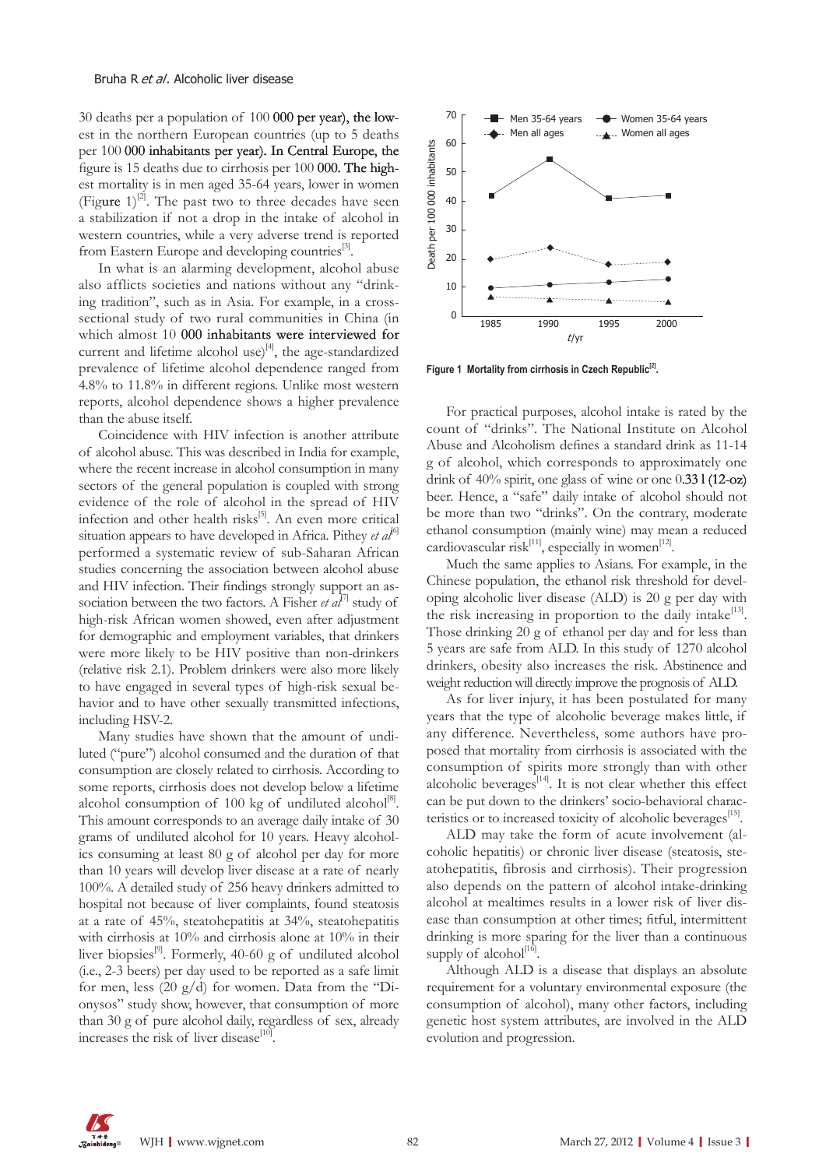30 deaths per a population of  $100000$  per year), the lowest in the northern European countries (up to 5 deaths per 100 000 inhabitants per year). In Central Europe, the figure is 15 deaths due to cirrhosis per  $100000$ . The highest mortality is in men aged 35-64 years, lower in women (Figure  $1$ )<sup>[2]</sup>. The past two to three decades have seen a stabilization if not a drop in the intake of alcohol in western countries, while a very adverse trend is reported from Eastern Europe and developing countries<sup>[3]</sup>.

In what is an alarming development, alcohol abuse also afflicts societies and nations without any "drinking tradition", such as in Asia. For example, in a crosssectional study of two rural communities in China (in which almost 10 000 inhabitants were interviewed for current and lifetime alcohol use) $^{[4]}$ , the age-standardized prevalence of lifetime alcohol dependence ranged from 4.8% to 11.8% in different regions. Unlike most western reports, alcohol dependence shows a higher prevalence than the abuse itself.

Coincidence with HIV infection is another attribute of alcohol abuse. This was described in India for example, where the recent increase in alcohol consumption in many sectors of the general population is coupled with strong evidence of the role of alcohol in the spread of HIV infection and other health risks<sup>[5]</sup>. An even more critical situation appears to have developed in Africa. Pithey *et al*<sup>[6]</sup> performed a systematic review of sub-Saharan African studies concerning the association between alcohol abuse and HIV infection. Their findings strongly support an association between the two factors. A Fisher *et al*<sup> $7$ ]</sup> study of high-risk African women showed, even after adjustment for demographic and employment variables, that drinkers were more likely to be HIV positive than non-drinkers (relative risk 2.1). Problem drinkers were also more likely to have engaged in several types of high-risk sexual behavior and to have other sexually transmitted infections, including HSV-2.

Many studies have shown that the amount of undiluted ("pure") alcohol consumed and the duration of that consumption are closely related to cirrhosis. According to some reports, cirrhosis does not develop below a lifetime alcohol consumption of 100 kg of undiluted alcohol<sup>[8]</sup>. This amount corresponds to an average daily intake of 30 grams of undiluted alcohol for 10 years. Heavy alcoholics consuming at least 80 g of alcohol per day for more than 10 years will develop liver disease at a rate of nearly 100%. A detailed study of 256 heavy drinkers admitted to hospital not because of liver complaints, found steatosis at a rate of 45%, steatohepatitis at 34%, steatohepatitis with cirrhosis at 10% and cirrhosis alone at 10% in their liver biopsies<sup>[9]</sup>. Formerly, 40-60 g of undiluted alcohol (i.e., 2-3 beers) per day used to be reported as a safe limit for men, less  $(20 \text{ g}/d)$  for women. Data from the "Dionysos" study show, however, that consumption of more than 30 g of pure alcohol daily, regardless of sex, already increases the risk of liver disease $[10]$ 



Figure 1 Mortality from cirrhosis in Czech Republic<sup>[2]</sup>.

For practical purposes, alcohol intake is rated by the count of "drinks". The National Institute on Alcohol Abuse and Alcoholism defines a standard drink as 11-14 g of alcohol, which corresponds to approximately one drink of 40% spirit, one glass of wine or one 0.33 l (12-oz) beer. Hence, a "safe" daily intake of alcohol should not be more than two "drinks". On the contrary, moderate ethanol consumption (mainly wine) may mean a reduced cardiovascular risk<sup>[11]</sup>, especially in women<sup>[12]</sup>.

Much the same applies to Asians. For example, in the Chinese population, the ethanol risk threshold for developing alcoholic liver disease (ALD) is 20 g per day with the risk increasing in proportion to the daily intake<sup>[13]</sup>. Those drinking 20 g of ethanol per day and for less than 5 years are safe from ALD. In this study of 1270 alcohol drinkers, obesity also increases the risk. Abstinence and weight reduction will directly improve the prognosis of ALD.

As for liver injury, it has been postulated for many years that the type of alcoholic beverage makes little, if any difference. Nevertheless, some authors have proposed that mortality from cirrhosis is associated with the consumption of spirits more strongly than with other alcoholic beverages $^{[14]}$ . It is not clear whether this effect can be put down to the drinkers' socio-behavioral characteristics or to increased toxicity of alcoholic beverages<sup>[15]</sup>.

ALD may take the form of acute involvement (alcoholic hepatitis) or chronic liver disease (steatosis, steatohepatitis, fibrosis and cirrhosis). Their progression also depends on the pattern of alcohol intake-drinking alcohol at mealtimes results in a lower risk of liver disease than consumption at other times; fitful, intermittent drinking is more sparing for the liver than a continuous supply of alcohol $^{[16]}$ .

Although ALD is a disease that displays an absolute requirement for a voluntary environmental exposure (the consumption of alcohol), many other factors, including genetic host system attributes, are involved in the ALD evolution and progression.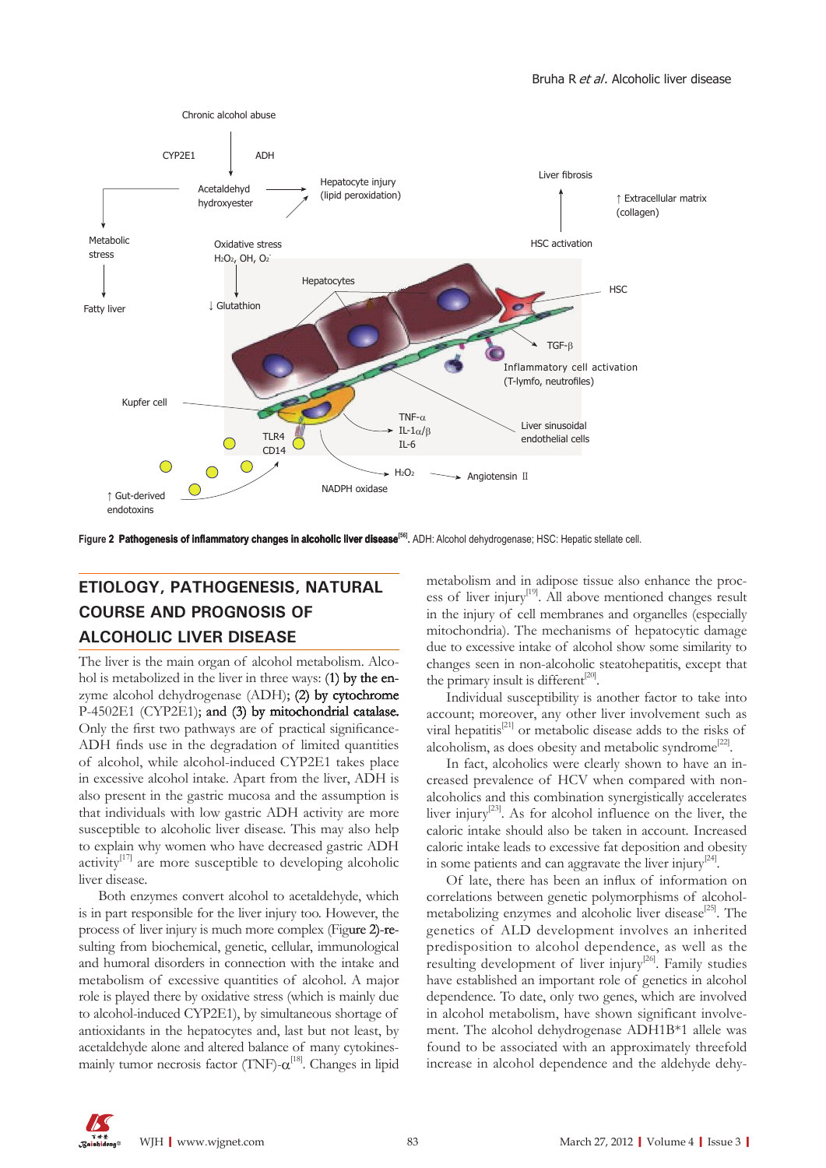

Figure 2 Pathogenesis of inflammatory changes in alcoholic liver disease<sup>[56]</sup>. ADH: Alcohol dehydrogenase; HSC: Hepatic stellate cell.

# **ETIOLOGY, PATHOGENESIS, NATURAL COURSE AND PROGNOSIS OF ALCOHOLIC LIVER DISEASE**

The liver is the main organ of alcohol metabolism. Alcohol is metabolized in the liver in three ways: (1) by the enzyme alcohol dehydrogenase  $(ADH)$ ; (2) by cytochrome P-4502E1 (CYP2E1); and (3) by mitochondrial catalase. Only the first two pathways are of practical significance-ADH finds use in the degradation of limited quantities of alcohol, while alcohol-induced CYP2E1 takes place in excessive alcohol intake. Apart from the liver, ADH is also present in the gastric mucosa and the assumption is that individuals with low gastric ADH activity are more susceptible to alcoholic liver disease. This may also help to explain why women who have decreased gastric ADH activity $[17]$  are more susceptible to developing alcoholic liver disease.

Both enzymes convert alcohol to acetaldehyde, which is in part responsible for the liver injury too. However, the process of liver injury is much more complex (Figure 2)-resulting from biochemical, genetic, cellular, immunological and humoral disorders in connection with the intake and metabolism of excessive quantities of alcohol. A major role is played there by oxidative stress (which is mainly due to alcohol-induced CYP2E1), by simultaneous shortage of antioxidants in the hepatocytes and, last but not least, by acetaldehyde alone and altered balance of many cytokinesmainly tumor necrosis factor (TNF)- $\alpha$ <sup>[18]</sup>. Changes in lipid

metabolism and in adipose tissue also enhance the process of liver injury<sup>[19]</sup>. All above mentioned changes result in the injury of cell membranes and organelles (especially mitochondria). The mechanisms of hepatocytic damage due to excessive intake of alcohol show some similarity to changes seen in non-alcoholic steatohepatitis, except that the primary insult is different $^{[20]}$ .

Individual susceptibility is another factor to take into account; moreover, any other liver involvement such as viral hepatitis<sup>[21]</sup> or metabolic disease adds to the risks of alcoholism, as does obesity and metabolic syndrome<sup>[22]</sup>.

In fact, alcoholics were clearly shown to have an increased prevalence of HCV when compared with nonalcoholics and this combination synergistically accelerates liver injury<sup>[23]</sup>. As for alcohol influence on the liver, the caloric intake should also be taken in account. Increased caloric intake leads to excessive fat deposition and obesity in some patients and can aggravate the liver injury<sup>[24]</sup>.

Of late, there has been an influx of information on correlations between genetic polymorphisms of alcoholmetabolizing enzymes and alcoholic liver disease<sup>[25]</sup>. The genetics of ALD development involves an inherited predisposition to alcohol dependence, as well as the resulting development of liver injury<sup>[26]</sup>. Family studies have established an important role of genetics in alcohol dependence. To date, only two genes, which are involved in alcohol metabolism, have shown significant involvement. The alcohol dehydrogenase ADH1B\*1 allele was found to be associated with an approximately threefold increase in alcohol dependence and the aldehyde dehy-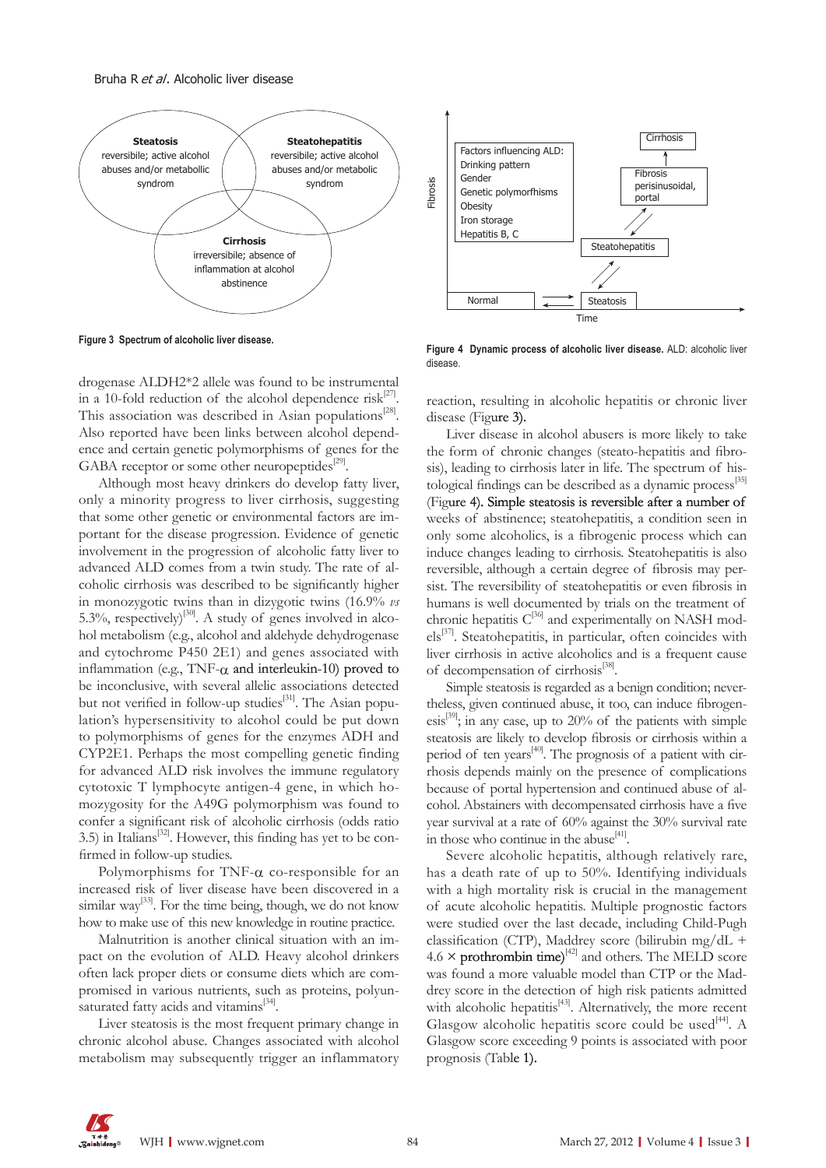

**Figure 3 Spectrum of alcoholic liver disease.** 

drogenase ALDH2\*2 allele was found to be instrumental in a 10-fold reduction of the alcohol dependence risk<sup>[27]</sup>. This association was described in Asian populations $^{[28]}$ . Also reported have been links between alcohol dependence and certain genetic polymorphisms of genes for the GABA receptor or some other neuropeptides $^{[29]}$ .

Although most heavy drinkers do develop fatty liver, only a minority progress to liver cirrhosis, suggesting that some other genetic or environmental factors are important for the disease progression. Evidence of genetic involvement in the progression of alcoholic fatty liver to advanced ALD comes from a twin study. The rate of alcoholic cirrhosis was described to be significantly higher in monozygotic twins than in dizygotic twins (16.9% *vs* 5.3%, respectively)<sup>[30]</sup>. A study of genes involved in alcohol metabolism (e.g., alcohol and aldehyde dehydrogenase and cytochrome P450 2E1) and genes associated with inflammation (e.g., TNF- $\alpha$  and interleukin-10) proved to be inconclusive, with several allelic associations detected but not verified in follow-up studies<sup>[31]</sup>. The Asian population's hypersensitivity to alcohol could be put down to polymorphisms of genes for the enzymes ADH and CYP2E1. Perhaps the most compelling genetic finding for advanced ALD risk involves the immune regulatory cytotoxic T lymphocyte antigen-4 gene, in which homozygosity for the A49G polymorphism was found to confer a significant risk of alcoholic cirrhosis (odds ratio 3.5) in Italians<sup>[32]</sup>. However, this finding has yet to be confirmed in follow-up studies.

Polymorphisms for TNF- $\alpha$  co-responsible for an increased risk of liver disease have been discovered in a similar way<sup>[33]</sup>. For the time being, though, we do not know how to make use of this new knowledge in routine practice.

Malnutrition is another clinical situation with an impact on the evolution of ALD. Heavy alcohol drinkers often lack proper diets or consume diets which are compromised in various nutrients, such as proteins, polyunsaturated fatty acids and vitamins<sup>[34]</sup>.

Liver steatosis is the most frequent primary change in chronic alcohol abuse. Changes associated with alcohol metabolism may subsequently trigger an inflammatory



**Figure 4 Dynamic process of alcoholic liver disease.�** ALD: alcoholic liver disease.

reaction, resulting in alcoholic hepatitis or chronic liver disease (Figure 3).

Liver disease in alcohol abusers is more likely to take the form of chronic changes (steato-hepatitis and fibrosis), leading to cirrhosis later in life. The spectrum of histological findings can be described as a dynamic process<sup>[35]</sup> (Figure 4). Simple steatosis is reversible after a number of weeks of abstinence; steatohepatitis, a condition seen in only some alcoholics, is a fibrogenic process which can induce changes leading to cirrhosis. Steatohepatitis is also reversible, although a certain degree of fibrosis may persist. The reversibility of steatohepatitis or even fibrosis in humans is well documented by trials on the treatment of chronic hepatitis  $C^{36]}$  and experimentally on NASH models[37]. Steatohepatitis, in particular, often coincides with liver cirrhosis in active alcoholics and is a frequent cause of decompensation of cirrhosis<sup>[38]</sup>.

Simple steatosis is regarded as a benign condition; nevertheless, given continued abuse, it too, can induce fibrogenesis<sup>[39]</sup>; in any case, up to  $20\%$  of the patients with simple steatosis are likely to develop fibrosis or cirrhosis within a period of ten years $[40]$ . The prognosis of a patient with cirrhosis depends mainly on the presence of complications because of portal hypertension and continued abuse of alcohol. Abstainers with decompensated cirrhosis have a five year survival at a rate of 60% against the 30% survival rate in those who continue in the abuse $[41]$ .

Severe alcoholic hepatitis, although relatively rare, has a death rate of up to 50%. Identifying individuals with a high mortality risk is crucial in the management of acute alcoholic hepatitis. Multiple prognostic factors were studied over the last decade, including Child-Pugh classification (CTP), Maddrey score (bilirubin mg/dL +  $4.6 \times$  prothrombin time)<sup>[42]</sup> and others. The MELD score was found a more valuable model than CTP or the Maddrey score in the detection of high risk patients admitted with alcoholic hepatitis<sup>[43]</sup>. Alternatively, the more recent Glasgow alcoholic hepatitis score could be used<sup>[44]</sup>. A Glasgow score exceeding 9 points is associated with poor prognosis (Table 1).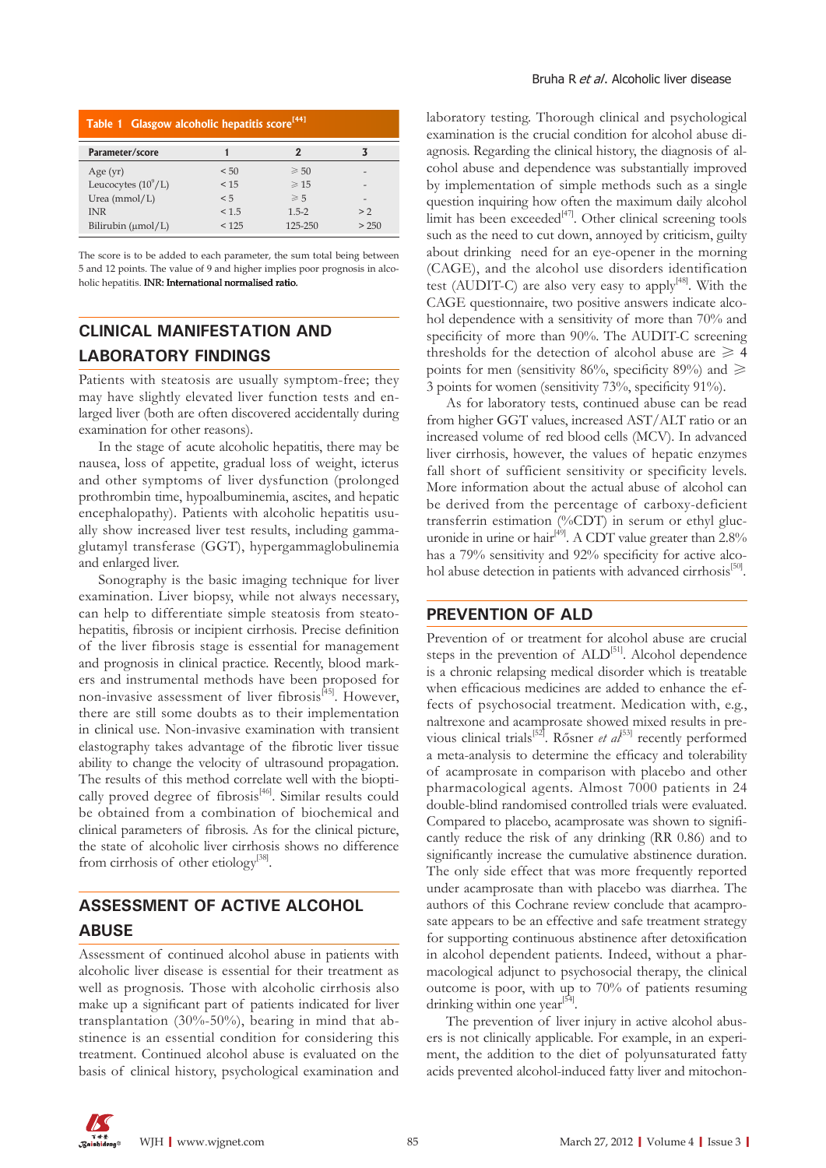| Table 1 Glasgow alcoholic hepatitis score <sup>[44]</sup> |       |                |       |
|-----------------------------------------------------------|-------|----------------|-------|
| Parameter/score                                           | 1     | 2              |       |
| Age $(yr)$                                                | < 50  | $\geqslant 50$ | -     |
| Leucocytes $(10^9/L)$                                     | < 15  | $\geqslant$ 15 | -     |
| Urea $(mmol/L)$                                           | < 5   | $\geqslant 5$  |       |
| <b>INR</b>                                                | < 1.5 | $1.5 - 2$      | > 2   |
| Bilirubin $(\mu mol/L)$                                   | < 125 | 125-250        | > 250 |

The score is to be added to each parameter, the sum total being between 5 and 12 points. The value of 9 and higher implies poor prognosis in alcoholic hepatitis. INR: International normalised ratio.

### **CLINICAL MANIFESTATION AND LABORATORY FINDINGS**

Patients with steatosis are usually symptom-free; they may have slightly elevated liver function tests and enlarged liver (both are often discovered accidentally during examination for other reasons).

In the stage of acute alcoholic hepatitis, there may be nausea, loss of appetite, gradual loss of weight, icterus and other symptoms of liver dysfunction (prolonged prothrombin time, hypoalbuminemia, ascites, and hepatic encephalopathy). Patients with alcoholic hepatitis usually show increased liver test results, including gammaglutamyl transferase (GGT), hypergammaglobulinemia and enlarged liver.

Sonography is the basic imaging technique for liver examination. Liver biopsy, while not always necessary, can help to differentiate simple steatosis from steatohepatitis, fibrosis or incipient cirrhosis. Precise definition of the liver fibrosis stage is essential for management and prognosis in clinical practice. Recently, blood markers and instrumental methods have been proposed for non-invasive assessment of liver fibrosis<sup>[45]</sup>. However, there are still some doubts as to their implementation in clinical use. Non-invasive examination with transient elastography takes advantage of the fibrotic liver tissue ability to change the velocity of ultrasound propagation. The results of this method correlate well with the bioptically proved degree of fibrosis<sup>[46]</sup>. Similar results could be obtained from a combination of biochemical and clinical parameters of fibrosis. As for the clinical picture, the state of alcoholic liver cirrhosis shows no difference from cirrhosis of other etiology<sup>[38]</sup>.

## **ASSESSMENT OF ACTIVE ALCOHOL ABUSE**

Assessment of continued alcohol abuse in patients with alcoholic liver disease is essential for their treatment as well as prognosis. Those with alcoholic cirrhosis also make up a significant part of patients indicated for liver transplantation (30%-50%), bearing in mind that abstinence is an essential condition for considering this treatment. Continued alcohol abuse is evaluated on the basis of clinical history, psychological examination and

laboratory testing. Thorough clinical and psychological examination is the crucial condition for alcohol abuse diagnosis. Regarding the clinical history, the diagnosis of alcohol abuse and dependence was substantially improved by implementation of simple methods such as a single question inquiring how often the maximum daily alcohol limit has been exceeded<sup>[47]</sup>. Other clinical screening tools such as the need to cut down, annoyed by criticism, guilty about drinking need for an eye-opener in the morning (CAGE), and the alcohol use disorders identification test (AUDIT-C) are also very easy to apply<sup>[48]</sup>. With the CAGE questionnaire, two positive answers indicate alcohol dependence with a sensitivity of more than 70% and specificity of more than 90%. The AUDIT-C screening thresholds for the detection of alcohol abuse are  $\geq 4$ points for men (sensitivity 86%, specificity 89%) and  $\geq$ 3 points for women (sensitivity 73%, specificity 91%).

As for laboratory tests, continued abuse can be read from higher GGT values, increased AST/ALT ratio or an increased volume of red blood cells (MCV). In advanced liver cirrhosis, however, the values of hepatic enzymes fall short of sufficient sensitivity or specificity levels. More information about the actual abuse of alcohol can be derived from the percentage of carboxy-deficient transferrin estimation (%CDT) in serum or ethyl glucuniversity contractor  $(60.21)$  in securit or empty glue-<br>uronide in urine or hair<sup>[49]</sup>. A CDT value greater than 2.8% has a 79% sensitivity and 92% specificity for active alcohol abuse detection in patients with advanced cirrhosis<sup>[50]</sup>.

#### **PREVENTION OF ALD**

Prevention of or treatment for alcohol abuse are crucial steps in the prevention of ALD<sup>[51]</sup>. Alcohol dependence is a chronic relapsing medical disorder which is treatable when efficacious medicines are added to enhance the effects of psychosocial treatment. Medication with, e.g., naltrexone and acamprosate showed mixed results in previous clinical trials<sup>[52]</sup>. Rősner *et al*<sup>[53]</sup> recently performed a meta-analysis to determine the efficacy and tolerability of acamprosate in comparison with placebo and other pharmacological agents. Almost 7000 patients in 24 double-blind randomised controlled trials were evaluated. Compared to placebo, acamprosate was shown to significantly reduce the risk of any drinking (RR 0.86) and to significantly increase the cumulative abstinence duration. The only side effect that was more frequently reported under acamprosate than with placebo was diarrhea. The authors of this Cochrane review conclude that acamprosate appears to be an effective and safe treatment strategy for supporting continuous abstinence after detoxification in alcohol dependent patients. Indeed, without a pharmacological adjunct to psychosocial therapy, the clinical outcome is poor, with up to 70% of patients resuming drinking within one year<sup>[54]</sup>.

The prevention of liver injury in active alcohol abusers is not clinically applicable. For example, in an experiment, the addition to the diet of polyunsaturated fatty acids prevented alcohol-induced fatty liver and mitochon-

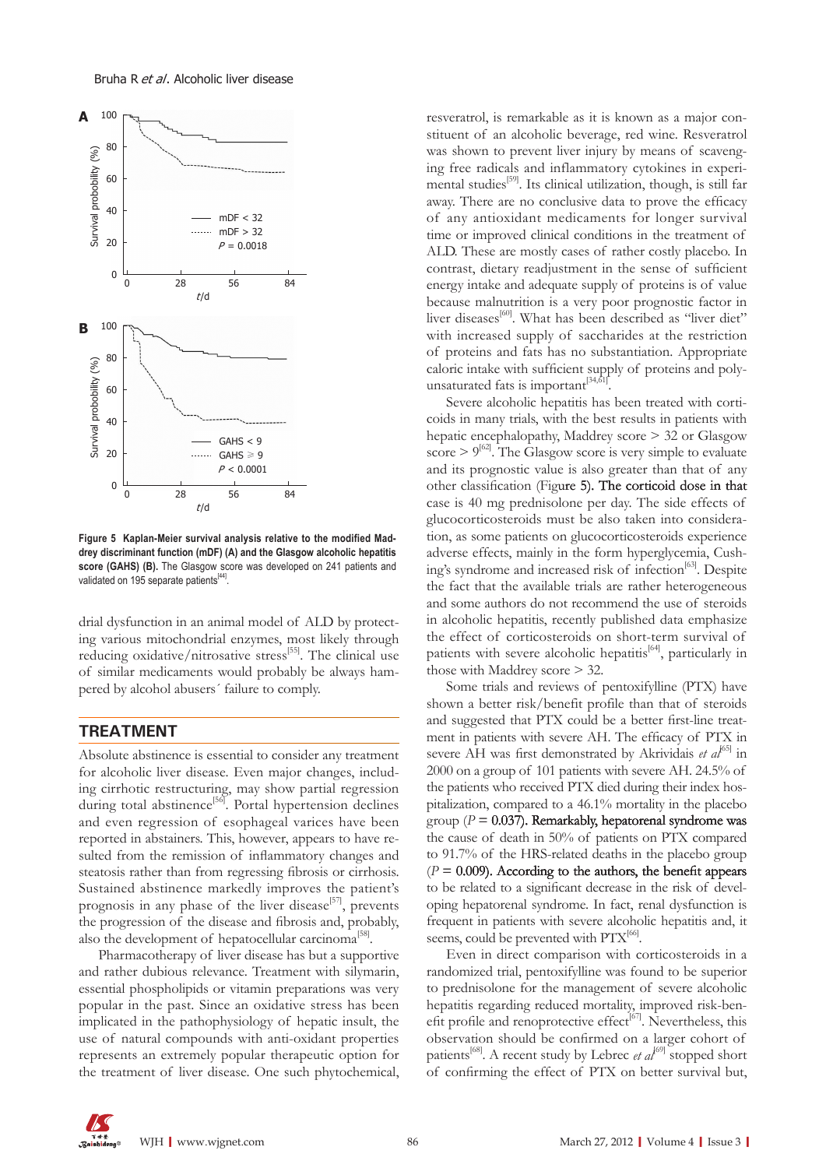#### Bruha R et al. Alcoholic liver disease



**Figure 5 Kaplan-Meier survival analysis relative to the modified Mad drey discriminant function (mDF) (A) and the Glasgow alcoholic hepatitis score (GAHS) (B).** The Glasgow score was developed on 241 patients and validated on 195 separate patients<sup>[44]</sup>.

drial dysfunction in an animal model of ALD by protecting various mitochondrial enzymes, most likely through reducing oxidative/nitrosative stress<sup>[55]</sup>. The clinical use of similar medicaments would probably be always hampered by alcohol abusers´ failure to comply.

#### **TREATMENT**

Absolute abstinence is essential to consider any treatment for alcoholic liver disease. Even major changes, including cirrhotic restructuring, may show partial regression during total abstinence<sup>[56]</sup>. Portal hypertension declines and even regression of esophageal varices have been reported in abstainers. This, however, appears to have resulted from the remission of inflammatory changes and steatosis rather than from regressing fibrosis or cirrhosis. Sustained abstinence markedly improves the patient's prognosis in any phase of the liver disease<sup>[57]</sup>, prevents the progression of the disease and fibrosis and, probably, also the development of hepatocellular carcinoma<sup>[58]</sup>.

Pharmacotherapy of liver disease has but a supportive and rather dubious relevance. Treatment with silymarin, essential phospholipids or vitamin preparations was very popular in the past. Since an oxidative stress has been implicated in the pathophysiology of hepatic insult, the use of natural compounds with anti-oxidant properties represents an extremely popular therapeutic option for the treatment of liver disease. One such phytochemical,

resveratrol, is remarkable as it is known as a major constituent of an alcoholic beverage, red wine. Resveratrol was shown to prevent liver injury by means of scavenging free radicals and inflammatory cytokines in experimental studies<sup>[59]</sup>. Its clinical utilization, though, is still far away. There are no conclusive data to prove the efficacy of any antioxidant medicaments for longer survival time or improved clinical conditions in the treatment of ALD. These are mostly cases of rather costly placebo. In contrast, dietary readjustment in the sense of sufficient energy intake and adequate supply of proteins is of value because malnutrition is a very poor prognostic factor in liver diseases<sup>[60]</sup>. What has been described as "liver diet" with increased supply of saccharides at the restriction of proteins and fats has no substantiation. Appropriate caloric intake with sufficient supply of proteins and polyunsaturated fats is important $[34,61]$ 

Severe alcoholic hepatitis has been treated with corticoids in many trials, with the best results in patients with hepatic encephalopathy, Maddrey score > 32 or Glasgow score  $> 9^{62}$ . The Glasgow score is very simple to evaluate and its prognostic value is also greater than that of any other classification (Figure 5). The corticoid dose in that case is 40 mg prednisolone per day. The side effects of glucocorticosteroids must be also taken into consideration, as some patients on glucocorticosteroids experience adverse effects, mainly in the form hyperglycemia, Cushing's syndrome and increased risk of infection<sup>[63]</sup>. Despite the fact that the available trials are rather heterogeneous and some authors do not recommend the use of steroids in alcoholic hepatitis, recently published data emphasize the effect of corticosteroids on short-term survival of patients with severe alcoholic hepatitis<sup>[64]</sup>, particularly in those with Maddrey score > 32.

Some trials and reviews of pentoxifylline (PTX) have shown a better risk/benefit profile than that of steroids and suggested that PTX could be a better first-line treatment in patients with severe AH. The efficacy of PTX in severe AH was first demonstrated by Akrividais *et al*<sup>65]</sup> in 2000 on a group of 101 patients with severe AH. 24.5% of the patients who received PTX died during their index hospitalization, compared to a 46.1% mortality in the placebo group ( $P = 0.037$ ). Remarkably, hepatorenal syndrome was the cause of death in 50% of patients on PTX compared to 91.7% of the HRS-related deaths in the placebo group  $(P = 0.009)$ . According to the authors, the benefit appears to be related to a significant decrease in the risk of developing hepatorenal syndrome. In fact, renal dysfunction is frequent in patients with severe alcoholic hepatitis and, it seems, could be prevented with  $PTX^{[66]}$ .

Even in direct comparison with corticosteroids in a randomized trial, pentoxifylline was found to be superior to prednisolone for the management of severe alcoholic hepatitis regarding reduced mortality, improved risk-benefit profile and renoprotective effect<sup>[67]</sup>. Nevertheless, this observation should be confirmed on a larger cohort of patients<sup>[68]</sup>. A recent study by Lebrec *et al*<sup>[69]</sup> stopped short of confirming the effect of PTX on better survival but,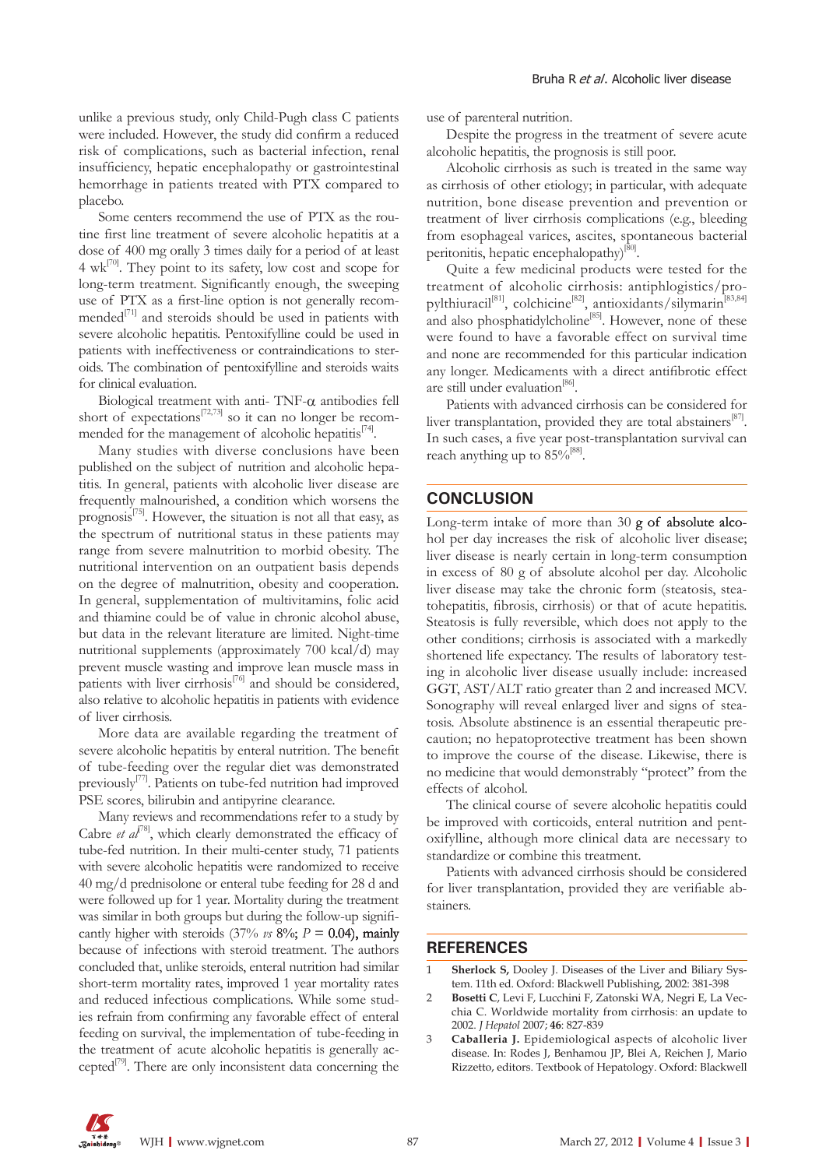unlike a previous study, only Child-Pugh class C patients were included. However, the study did confirm a reduced risk of complications, such as bacterial infection, renal insufficiency, hepatic encephalopathy or gastrointestinal hemorrhage in patients treated with PTX compared to placebo.

Some centers recommend the use of PTX as the routine first line treatment of severe alcoholic hepatitis at a dose of 400 mg orally 3 times daily for a period of at least 4 wk[70]. They point to its safety, low cost and scope for long-term treatment. Significantly enough, the sweeping use of PTX as a first-line option is not generally recommended $^{[71]}$  and steroids should be used in patients with severe alcoholic hepatitis. Pentoxifylline could be used in patients with ineffectiveness or contraindications to steroids. The combination of pentoxifylline and steroids waits for clinical evaluation.

Biological treatment with anti- TNF- $\alpha$  antibodies fell short of expectations<sup>[72,73]</sup> so it can no longer be recommended for the management of alcoholic hepatitis $[74]$ .

Many studies with diverse conclusions have been published on the subject of nutrition and alcoholic hepatitis. In general, patients with alcoholic liver disease are frequently malnourished, a condition which worsens the prognosis<sup>[75]</sup>. However, the situation is not all that easy, as the spectrum of nutritional status in these patients may range from severe malnutrition to morbid obesity. The nutritional intervention on an outpatient basis depends on the degree of malnutrition, obesity and cooperation. In general, supplementation of multivitamins, folic acid and thiamine could be of value in chronic alcohol abuse, but data in the relevant literature are limited. Night-time nutritional supplements (approximately 700 kcal/d) may prevent muscle wasting and improve lean muscle mass in patients with liver cirrhosis<sup>[76]</sup> and should be considered, also relative to alcoholic hepatitis in patients with evidence of liver cirrhosis.

More data are available regarding the treatment of severe alcoholic hepatitis by enteral nutrition. The benefit of tube-feeding over the regular diet was demonstrated previously[77]. Patients on tube-fed nutrition had improved PSE scores, bilirubin and antipyrine clearance.

Many reviews and recommendations refer to a study by Cabre *et al*<sup>[78]</sup>, which clearly demonstrated the efficacy of tube-fed nutrition. In their multi-center study, 71 patients with severe alcoholic hepatitis were randomized to receive 40 mg/d prednisolone or enteral tube feeding for 28 d and were followed up for 1 year. Mortality during the treatment was similar in both groups but during the follow-up significantly higher with steroids (37%  $\nu s$  8%;  $P = 0.04$ ), mainly because of infections with steroid treatment. The authors concluded that, unlike steroids, enteral nutrition had similar short-term mortality rates, improved 1 year mortality rates and reduced infectious complications. While some studies refrain from confirming any favorable effect of enteral feeding on survival, the implementation of tube-feeding in the treatment of acute alcoholic hepatitis is generally accepted $[79]$ . There are only inconsistent data concerning the use of parenteral nutrition.

Despite the progress in the treatment of severe acute alcoholic hepatitis, the prognosis is still poor.

Alcoholic cirrhosis as such is treated in the same way as cirrhosis of other etiology; in particular, with adequate nutrition, bone disease prevention and prevention or treatment of liver cirrhosis complications (e.g., bleeding from esophageal varices, ascites, spontaneous bacterial peritonitis, hepatic encephalopathy)<sup>[80]</sup>.

Quite a few medicinal products were tested for the treatment of alcoholic cirrhosis: antiphlogistics/propylthiuracil[81], colchicine[82], antioxidants/silymarin[83,84] and also phosphatidylcholine<sup>[85]</sup>. However, none of these were found to have a favorable effect on survival time and none are recommended for this particular indication any longer. Medicaments with a direct antifibrotic effect are still under evaluation<sup>[86]</sup>.

Patients with advanced cirrhosis can be considered for liver transplantation, provided they are total abstainers<sup>[87]</sup>. In such cases, a five year post-transplantation survival can reach anything up to  $85\%^{[88]}$ .

#### **CONCLUSION**

Long-term intake of more than 30 g of absolute alcohol per day increases the risk of alcoholic liver disease; liver disease is nearly certain in long-term consumption in excess of 80 g of absolute alcohol per day. Alcoholic liver disease may take the chronic form (steatosis, steatohepatitis, fibrosis, cirrhosis) or that of acute hepatitis. Steatosis is fully reversible, which does not apply to the other conditions; cirrhosis is associated with a markedly shortened life expectancy. The results of laboratory testing in alcoholic liver disease usually include: increased GGT, AST/ALT ratio greater than 2 and increased MCV. Sonography will reveal enlarged liver and signs of steatosis. Absolute abstinence is an essential therapeutic precaution; no hepatoprotective treatment has been shown to improve the course of the disease. Likewise, there is no medicine that would demonstrably "protect" from the effects of alcohol.

The clinical course of severe alcoholic hepatitis could be improved with corticoids, enteral nutrition and pentoxifylline, although more clinical data are necessary to standardize or combine this treatment.

Patients with advanced cirrhosis should be considered for liver transplantation, provided they are verifiable abstainers.

#### **REFERENCES**

- 1 **Sherlock S,** Dooley J. Diseases of the Liver and Biliary System. 11th ed. Oxford: Blackwell Publishing, 2002: 381-398
- 2 **Bosetti C**, Levi F, Lucchini F, Zatonski WA, Negri E, La Vecchia C. Worldwide mortality from cirrhosis: an update to 2002. *J Hepatol* 2007; **46**: 827-839
- 3 **Caballeria J.** Epidemiological aspects of alcoholic liver disease. In: Rodes J, Benhamou JP, Blei A, Reichen J, Mario Rizzetto, editors. Textbook of Hepatology. Oxford: Blackwell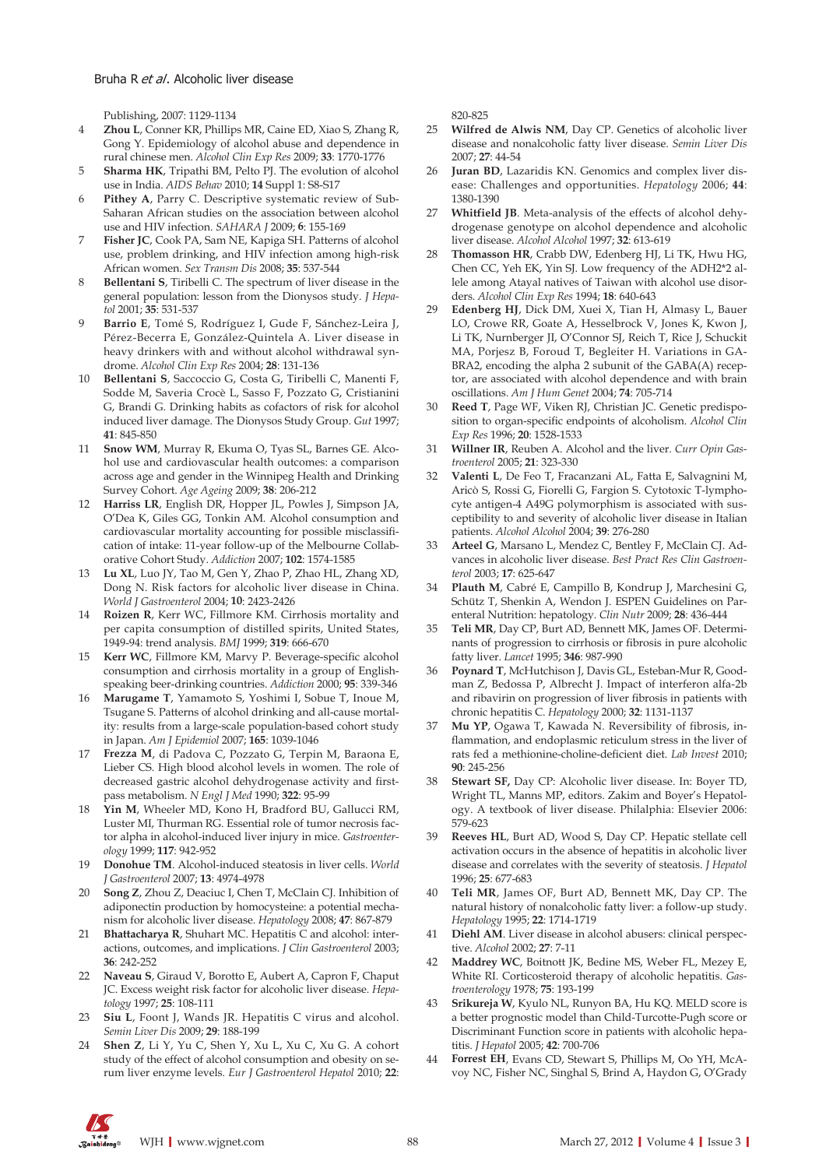Publishing, 2007: 1129-1134

- 4 **Zhou L**, Conner KR, Phillips MR, Caine ED, Xiao S, Zhang R, Gong Y. Epidemiology of alcohol abuse and dependence in rural chinese men. *Alcohol Clin Exp Res* 2009; **33**: 1770-1776
- 5 **Sharma HK**, Tripathi BM, Pelto PJ. The evolution of alcohol use in India. *AIDS Behav* 2010; **14** Suppl 1: S8-S17
- 6 **Pithey A**, Parry C. Descriptive systematic review of Sub-Saharan African studies on the association between alcohol use and HIV infection. *SAHARA J* 2009; **6**: 155-169
- 7 **Fisher JC**, Cook PA, Sam NE, Kapiga SH. Patterns of alcohol use, problem drinking, and HIV infection among high-risk African women. *Sex Transm Dis* 2008; **35**: 537-544
- 8 **Bellentani S**, Tiribelli C. The spectrum of liver disease in the general population: lesson from the Dionysos study. *J Hepatol* 2001; **35**: 531-537
- 9 **Barrio E**, Tomé S, Rodríguez I, Gude F, Sánchez-Leira J, Pérez-Becerra E, González-Quintela A. Liver disease in heavy drinkers with and without alcohol withdrawal syndrome. *Alcohol Clin Exp Res* 2004; **28**: 131-136
- 10 **Bellentani S**, Saccoccio G, Costa G, Tiribelli C, Manenti F, Sodde M, Saveria Crocè L, Sasso F, Pozzato G, Cristianini G, Brandi G. Drinking habits as cofactors of risk for alcohol induced liver damage. The Dionysos Study Group. *Gut* 1997; **41**: 845-850
- 11 **Snow WM**, Murray R, Ekuma O, Tyas SL, Barnes GE. Alcohol use and cardiovascular health outcomes: a comparison across age and gender in the Winnipeg Health and Drinking Survey Cohort. *Age Ageing* 2009; **38**: 206-212
- 12 **Harriss LR**, English DR, Hopper JL, Powles J, Simpson JA, O'Dea K, Giles GG, Tonkin AM. Alcohol consumption and cardiovascular mortality accounting for possible misclassification of intake: 11-year follow-up of the Melbourne Collaborative Cohort Study. *Addiction* 2007; **102**: 1574-1585
- 13 **Lu XL**, Luo JY, Tao M, Gen Y, Zhao P, Zhao HL, Zhang XD, Dong N. Risk factors for alcoholic liver disease in China. *World J Gastroenterol* 2004; **10**: 2423-2426
- 14 **Roizen R**, Kerr WC, Fillmore KM. Cirrhosis mortality and per capita consumption of distilled spirits, United States, 1949-94: trend analysis. *BMJ* 1999; **319**: 666-670
- 15 **Kerr WC**, Fillmore KM, Marvy P. Beverage-specific alcohol consumption and cirrhosis mortality in a group of Englishspeaking beer-drinking countries. *Addiction* 2000; **95**: 339-346
- 16 **Marugame T**, Yamamoto S, Yoshimi I, Sobue T, Inoue M, Tsugane S. Patterns of alcohol drinking and all-cause mortality: results from a large-scale population-based cohort study in Japan. *Am J Epidemiol* 2007; **165**: 1039-1046
- 17 **Frezza M**, di Padova C, Pozzato G, Terpin M, Baraona E, Lieber CS. High blood alcohol levels in women. The role of decreased gastric alcohol dehydrogenase activity and firstpass metabolism. *N Engl J Med* 1990; **322**: 95-99
- 18 **Yin M**, Wheeler MD, Kono H, Bradford BU, Gallucci RM, Luster MI, Thurman RG. Essential role of tumor necrosis factor alpha in alcohol-induced liver injury in mice. *Gastroenterology* 1999; **117**: 942-952
- 19 **Donohue TM**. Alcohol-induced steatosis in liver cells. *World J Gastroenterol* 2007; **13**: 4974-4978
- 20 **Song Z**, Zhou Z, Deaciuc I, Chen T, McClain CJ. Inhibition of adiponectin production by homocysteine: a potential mechanism for alcoholic liver disease. *Hepatology* 2008; **47**: 867-879
- 21 **Bhattacharya R**, Shuhart MC. Hepatitis C and alcohol: interactions, outcomes, and implications. *J Clin Gastroenterol* 2003; **36**: 242-252
- 22 **Naveau S**, Giraud V, Borotto E, Aubert A, Capron F, Chaput JC. Excess weight risk factor for alcoholic liver disease. *Hepatology* 1997; **25**: 108-111
- 23 **Siu L**, Foont J, Wands JR. Hepatitis C virus and alcohol. *Semin Liver Dis* 2009; **29**: 188-199
- 24 **Shen Z**, Li Y, Yu C, Shen Y, Xu L, Xu C, Xu G. A cohort study of the effect of alcohol consumption and obesity on serum liver enzyme levels. *Eur J Gastroenterol Hepatol* 2010; **22**:

820-825

- 25 **Wilfred de Alwis NM**, Day CP. Genetics of alcoholic liver disease and nonalcoholic fatty liver disease. *Semin Liver Dis* 2007; **27**: 44-54
- 26 **Juran BD**, Lazaridis KN. Genomics and complex liver disease: Challenges and opportunities. *Hepatology* 2006; **44**: 1380-1390
- 27 **Whitfield JB**. Meta-analysis of the effects of alcohol dehydrogenase genotype on alcohol dependence and alcoholic liver disease. *Alcohol Alcohol* 1997; **32**: 613-619
- 28 **Thomasson HR**, Crabb DW, Edenberg HJ, Li TK, Hwu HG, Chen CC, Yeh EK, Yin SJ. Low frequency of the ADH2\*2 allele among Atayal natives of Taiwan with alcohol use disorders. *Alcohol Clin Exp Res* 1994; **18**: 640-643
- 29 **Edenberg HJ**, Dick DM, Xuei X, Tian H, Almasy L, Bauer LO, Crowe RR, Goate A, Hesselbrock V, Jones K, Kwon J, Li TK, Nurnberger JI, O'Connor SJ, Reich T, Rice J, Schuckit MA, Porjesz B, Foroud T, Begleiter H. Variations in GA-BRA2, encoding the alpha 2 subunit of the GABA(A) receptor, are associated with alcohol dependence and with brain oscillations. *Am J Hum Genet* 2004; **74**: 705-714
- 30 **Reed T**, Page WF, Viken RJ, Christian JC. Genetic predisposition to organ-specific endpoints of alcoholism. *Alcohol Clin Exp Res* 1996; **20**: 1528-1533
- 31 **Willner IR**, Reuben A. Alcohol and the liver. *Curr Opin Gastroenterol* 2005; **21**: 323-330
- 32 **Valenti L**, De Feo T, Fracanzani AL, Fatta E, Salvagnini M, Aricò S, Rossi G, Fiorelli G, Fargion S. Cytotoxic T-lymphocyte antigen-4 A49G polymorphism is associated with susceptibility to and severity of alcoholic liver disease in Italian patients. *Alcohol Alcohol* 2004; **39**: 276-280
- 33 **Arteel G**, Marsano L, Mendez C, Bentley F, McClain CJ. Advances in alcoholic liver disease. *Best Pract Res Clin Gastroenterol* 2003; **17**: 625-647
- 34 **Plauth M**, Cabré E, Campillo B, Kondrup J, Marchesini G, Schütz T, Shenkin A, Wendon J. ESPEN Guidelines on Parenteral Nutrition: hepatology. *Clin Nutr* 2009; **28**: 436-444
- Teli MR, Day CP, Burt AD, Bennett MK, James OF. Determinants of progression to cirrhosis or fibrosis in pure alcoholic fatty liver. *Lancet* 1995; **346**: 987-990
- 36 **Poynard T**, McHutchison J, Davis GL, Esteban-Mur R, Goodman Z, Bedossa P, Albrecht J. Impact of interferon alfa-2b and ribavirin on progression of liver fibrosis in patients with chronic hepatitis C. *Hepatology* 2000; **32**: 1131-1137
- 37 **Mu YP**, Ogawa T, Kawada N. Reversibility of fibrosis, inflammation, and endoplasmic reticulum stress in the liver of rats fed a methionine-choline-deficient diet. *Lab Invest* 2010; **90**: 245-256
- Stewart SF, Day CP: Alcoholic liver disease. In: Boyer TD, Wright TL, Manns MP, editors. Zakim and Boyer's Hepatology. A textbook of liver disease. Philalphia: Elsevier 2006: 579-623
- 39 **Reeves HL**, Burt AD, Wood S, Day CP. Hepatic stellate cell activation occurs in the absence of hepatitis in alcoholic liver disease and correlates with the severity of steatosis. *J Hepatol* 1996; **25**: 677-683
- 40 **Teli MR**, James OF, Burt AD, Bennett MK, Day CP. The natural history of nonalcoholic fatty liver: a follow-up study. *Hepatology* 1995; **22**: 1714-1719
- 41 **Diehl AM**. Liver disease in alcohol abusers: clinical perspective. *Alcohol* 2002; **27**: 7-11
- 42 **Maddrey WC**, Boitnott JK, Bedine MS, Weber FL, Mezey E, White RI. Corticosteroid therapy of alcoholic hepatitis. *Gastroenterology* 1978; **75**: 193-199
- 43 **Srikureja W**, Kyulo NL, Runyon BA, Hu KQ. MELD score is a better prognostic model than Child-Turcotte-Pugh score or Discriminant Function score in patients with alcoholic hepatitis. *J Hepatol* 2005; **42**: 700-706
- 44 **Forrest EH**, Evans CD, Stewart S, Phillips M, Oo YH, McAvoy NC, Fisher NC, Singhal S, Brind A, Haydon G, O'Grady

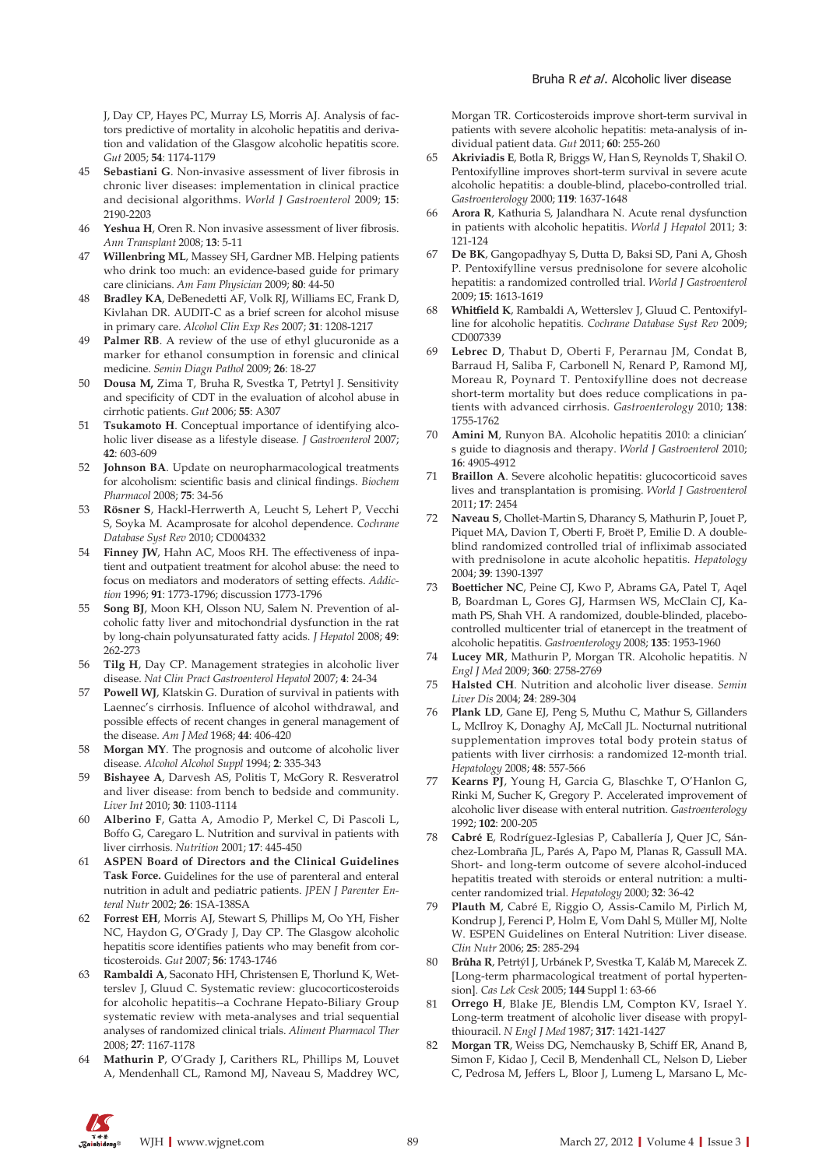J, Day CP, Hayes PC, Murray LS, Morris AJ. Analysis of factors predictive of mortality in alcoholic hepatitis and derivation and validation of the Glasgow alcoholic hepatitis score. *Gut* 2005; **54**: 1174-1179

- 45 **Sebastiani G**. Non-invasive assessment of liver fibrosis in chronic liver diseases: implementation in clinical practice and decisional algorithms. *World J Gastroenterol* 2009; **15**: 2190-2203
- 46 **Yeshua H**, Oren R. Non invasive assessment of liver fibrosis. *Ann Transplant* 2008; **13**: 5-11
- 47 **Willenbring ML**, Massey SH, Gardner MB. Helping patients who drink too much: an evidence-based guide for primary care clinicians. *Am Fam Physician* 2009; **80**: 44-50
- 48 **Bradley KA**, DeBenedetti AF, Volk RJ, Williams EC, Frank D, Kivlahan DR. AUDIT-C as a brief screen for alcohol misuse in primary care. *Alcohol Clin Exp Res* 2007; **31**: 1208-1217
- 49 **Palmer RB**. A review of the use of ethyl glucuronide as a marker for ethanol consumption in forensic and clinical medicine. *Semin Diagn Pathol* 2009; **26**: 18-27
- 50 **Dousa M,** Zima T, Bruha R, Svestka T, Petrtyl J. Sensitivity and specificity of CDT in the evaluation of alcohol abuse in cirrhotic patients. *Gut* 2006; **55**: A307
- 51 **Tsukamoto H**. Conceptual importance of identifying alcoholic liver disease as a lifestyle disease. *J Gastroenterol* 2007; **42**: 603-609
- 52 **Johnson BA**. Update on neuropharmacological treatments for alcoholism: scientific basis and clinical findings. *Biochem Pharmacol* 2008; **75**: 34-56
- 53 **Rösner S**, Hackl-Herrwerth A, Leucht S, Lehert P, Vecchi S, Soyka M. Acamprosate for alcohol dependence. *Cochrane Database Syst Rev* 2010; CD004332
- 54 **Finney JW**, Hahn AC, Moos RH. The effectiveness of inpatient and outpatient treatment for alcohol abuse: the need to focus on mediators and moderators of setting effects. *Addiction* 1996; **91**: 1773-1796; discussion 1773-1796
- 55 **Song BJ**, Moon KH, Olsson NU, Salem N. Prevention of alcoholic fatty liver and mitochondrial dysfunction in the rat by long-chain polyunsaturated fatty acids. *J Hepatol* 2008; **49**: 262-273
- 56 **Tilg H**, Day CP. Management strategies in alcoholic liver disease. *Nat Clin Pract Gastroenterol Hepatol* 2007; **4**: 24-34
- **Powell WJ**, Klatskin G. Duration of survival in patients with Laennec's cirrhosis. Influence of alcohol withdrawal, and possible effects of recent changes in general management of the disease. *Am J Med* 1968; **44**: 406-420
- 58 **Morgan MY**. The prognosis and outcome of alcoholic liver disease. *Alcohol Alcohol Suppl* 1994; **2**: 335-343
- 59 **Bishayee A**, Darvesh AS, Politis T, McGory R. Resveratrol and liver disease: from bench to bedside and community. *Liver Int* 2010; **30**: 1103-1114
- 60 **Alberino F**, Gatta A, Amodio P, Merkel C, Di Pascoli L, Boffo G, Caregaro L. Nutrition and survival in patients with liver cirrhosis. *Nutrition* 2001; **17**: 445-450
- 61 **ASPEN Board of Directors and the Clinical Guidelines Task Force.** Guidelines for the use of parenteral and enteral nutrition in adult and pediatric patients. *JPEN J Parenter Enteral Nutr* 2002; **26**: 1SA-138SA
- 62 **Forrest EH**, Morris AJ, Stewart S, Phillips M, Oo YH, Fisher NC, Haydon G, O'Grady J, Day CP. The Glasgow alcoholic hepatitis score identifies patients who may benefit from corticosteroids. *Gut* 2007; **56**: 1743-1746
- 63 **Rambaldi A**, Saconato HH, Christensen E, Thorlund K, Wetterslev J, Gluud C. Systematic review: glucocorticosteroids for alcoholic hepatitis--a Cochrane Hepato-Biliary Group systematic review with meta-analyses and trial sequential analyses of randomized clinical trials. *Aliment Pharmacol Ther* 2008; **27**: 1167-1178
- 64 **Mathurin P**, O'Grady J, Carithers RL, Phillips M, Louvet A, Mendenhall CL, Ramond MJ, Naveau S, Maddrey WC,

Morgan TR. Corticosteroids improve short-term survival in patients with severe alcoholic hepatitis: meta-analysis of individual patient data. *Gut* 2011; **60**: 255-260

- 65 **Akriviadis E**, Botla R, Briggs W, Han S, Reynolds T, Shakil O. Pentoxifylline improves short-term survival in severe acute alcoholic hepatitis: a double-blind, placebo-controlled trial. *Gastroenterology* 2000; **119**: 1637-1648
- 66 **Arora R**, Kathuria S, Jalandhara N. Acute renal dysfunction in patients with alcoholic hepatitis. *World J Hepatol* 2011; **3**: 121-124
- 67 **De BK**, Gangopadhyay S, Dutta D, Baksi SD, Pani A, Ghosh P. Pentoxifylline versus prednisolone for severe alcoholic hepatitis: a randomized controlled trial. *World J Gastroenterol* 2009; **15**: 1613-1619
- 68 **Whitfield K**, Rambaldi A, Wetterslev J, Gluud C. Pentoxifylline for alcoholic hepatitis. *Cochrane Database Syst Rev* 2009; CD007339
- 69 **Lebrec D**, Thabut D, Oberti F, Perarnau JM, Condat B, Barraud H, Saliba F, Carbonell N, Renard P, Ramond MJ, Moreau R, Poynard T. Pentoxifylline does not decrease short-term mortality but does reduce complications in patients with advanced cirrhosis. *Gastroenterology* 2010; **138**: 1755-1762
- 70 **Amini M**, Runyon BA. Alcoholic hepatitis 2010: a clinician' s guide to diagnosis and therapy. *World J Gastroenterol* 2010; **16**: 4905-4912
- 71 **Braillon A**. Severe alcoholic hepatitis: glucocorticoid saves lives and transplantation is promising. *World J Gastroenterol* 2011; **17**: 2454
- 72 **Naveau S**, Chollet-Martin S, Dharancy S, Mathurin P, Jouet P, Piquet MA, Davion T, Oberti F, Broët P, Emilie D. A doubleblind randomized controlled trial of infliximab associated with prednisolone in acute alcoholic hepatitis. *Hepatology* 2004; **39**: 1390-1397
- Boetticher NC, Peine CJ, Kwo P, Abrams GA, Patel T, Aqel B, Boardman L, Gores GJ, Harmsen WS, McClain CJ, Kamath PS, Shah VH. A randomized, double-blinded, placebocontrolled multicenter trial of etanercept in the treatment of alcoholic hepatitis. *Gastroenterology* 2008; **135**: 1953-1960
- 74 **Lucey MR**, Mathurin P, Morgan TR. Alcoholic hepatitis. *N Engl J Med* 2009; **360**: 2758-2769
- 75 **Halsted CH**. Nutrition and alcoholic liver disease. *Semin Liver Dis* 2004; **24**: 289-304
- 76 **Plank LD**, Gane EJ, Peng S, Muthu C, Mathur S, Gillanders L, McIlroy K, Donaghy AJ, McCall JL. Nocturnal nutritional supplementation improves total body protein status of patients with liver cirrhosis: a randomized 12-month trial. *Hepatology* 2008; **48**: 557-566
- 77 **Kearns PJ**, Young H, Garcia G, Blaschke T, O'Hanlon G, Rinki M, Sucher K, Gregory P. Accelerated improvement of alcoholic liver disease with enteral nutrition. *Gastroenterology* 1992; **102**: 200-205
- 78 **Cabré E**, Rodríguez-Iglesias P, Caballería J, Quer JC, Sánchez-Lombraña JL, Parés A, Papo M, Planas R, Gassull MA. Short- and long-term outcome of severe alcohol-induced hepatitis treated with steroids or enteral nutrition: a multicenter randomized trial. *Hepatology* 2000; **32**: 36-42
- 79 **Plauth M**, Cabré E, Riggio O, Assis-Camilo M, Pirlich M, Kondrup J, Ferenci P, Holm E, Vom Dahl S, Müller MJ, Nolte W. ESPEN Guidelines on Enteral Nutrition: Liver disease. *Clin Nutr* 2006; **25**: 285-294
- 80 **Brůha R**, Petrtýl J, Urbánek P, Svestka T, Kaláb M, Marecek Z. [Long-term pharmacological treatment of portal hypertension]. *Cas Lek Cesk* 2005; **144** Suppl 1: 63-66
- 81 **Orrego H**, Blake JE, Blendis LM, Compton KV, Israel Y. Long-term treatment of alcoholic liver disease with propylthiouracil. *N Engl J Med* 1987; **317**: 1421-1427
- 82 **Morgan TR**, Weiss DG, Nemchausky B, Schiff ER, Anand B, Simon F, Kidao J, Cecil B, Mendenhall CL, Nelson D, Lieber C, Pedrosa M, Jeffers L, Bloor J, Lumeng L, Marsano L, Mc-